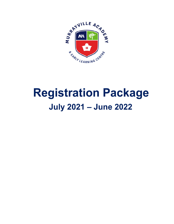

# **Registration Package July 2021 - June 2022**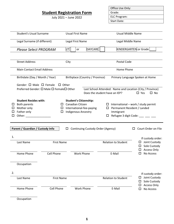# **Student Registration Form**

July 2021 – June 2022

| Office Use Only: |
|------------------|
| Grade:           |
| ELC Program:     |
| Start Date:      |

|    | <b>Student's Usual Surname</b>    |                                          |                  | <b>Usual First Name</b> |                                   | <b>Usual Middle Name</b> |                                            |    |                                                                                         |  |
|----|-----------------------------------|------------------------------------------|------------------|-------------------------|-----------------------------------|--------------------------|--------------------------------------------|----|-----------------------------------------------------------------------------------------|--|
|    |                                   |                                          |                  |                         |                                   |                          |                                            |    |                                                                                         |  |
|    | Legal Surname (if different)      |                                          | Legal First Name |                         |                                   | Legal Middle Name        |                                            |    |                                                                                         |  |
|    |                                   |                                          |                  |                         |                                   |                          |                                            |    |                                                                                         |  |
|    | <b>Please Select PROGRAM</b>      |                                          | l/T              | or                      | <b>DAYCARE</b>                    |                          | KINDERGARTEN or Grade                      |    |                                                                                         |  |
|    |                                   |                                          |                  |                         |                                   |                          |                                            |    |                                                                                         |  |
|    |                                   |                                          |                  |                         |                                   |                          |                                            |    |                                                                                         |  |
|    | <b>Street Address</b>             |                                          | City             |                         |                                   |                          | Postal Code                                |    |                                                                                         |  |
|    | <b>Main Contact Email Address</b> |                                          |                  |                         |                                   |                          | Home Phone                                 |    |                                                                                         |  |
|    |                                   |                                          |                  |                         |                                   |                          |                                            |    |                                                                                         |  |
|    | Birthdate (Day / Month / Year)    |                                          |                  |                         | Birthplace (Country / Province)   |                          |                                            |    | Primary Language Spoken at Home                                                         |  |
|    |                                   |                                          |                  |                         |                                   |                          |                                            |    |                                                                                         |  |
|    | Gender: $\Box$ Male $\Box$ Female |                                          | $\Box$ Other     |                         |                                   |                          |                                            |    |                                                                                         |  |
|    |                                   | Preferred Gender: □ Male □ Female□ Other |                  |                         | Does the student have an IEP?     |                          |                                            |    | Last School Attended: Name and Location (City / Province)<br>$\Box$ Yes<br>$\square$ No |  |
|    |                                   |                                          |                  |                         |                                   |                          |                                            |    |                                                                                         |  |
|    | <b>Student Resides with:</b>      |                                          |                  |                         | <b>Student's Citizenship:</b>     |                          |                                            |    |                                                                                         |  |
| ப  | Both parents                      |                                          |                  | $\Box$ Canadian Citizen |                                   |                          | $\Box$ International – work / study permit |    |                                                                                         |  |
| ப  | Mother only                       |                                          |                  |                         | $\Box$ International-fee-paying   |                          | $\Box$ Permanent Resident / Landed         |    |                                                                                         |  |
| ப  | Father only                       | ப                                        |                  |                         | <b>Indigenous Ancestry</b>        |                          | Immigrant                                  |    |                                                                                         |  |
|    | Other:                            |                                          |                  |                         |                                   |                          | $\Box$ Refugee 3 digit Code: $\Box$        |    |                                                                                         |  |
|    |                                   |                                          |                  |                         |                                   |                          |                                            |    |                                                                                         |  |
|    |                                   |                                          |                  |                         |                                   |                          |                                            |    |                                                                                         |  |
|    | Parent / Guardian / Custody Info  |                                          | ப                |                         | Continuing Custody Order (Agency) |                          |                                            | П. | Court Order on File                                                                     |  |
| 1. |                                   |                                          |                  |                         |                                   |                          |                                            |    |                                                                                         |  |
|    |                                   |                                          |                  |                         |                                   |                          |                                            |    | If custody order:                                                                       |  |
|    | Last Name                         | <b>First Name</b>                        |                  |                         |                                   |                          | <b>Relation to Student</b>                 |    | $\Box$ Joint Custody<br>Sole Custody<br>ப                                               |  |
|    |                                   |                                          |                  |                         |                                   |                          |                                            |    | <b>Access Only</b>                                                                      |  |
|    | Home Phone                        | <b>Cell Phone</b>                        |                  |                         | <b>Work Phone</b>                 |                          | E-Mail                                     |    | No Access<br>□                                                                          |  |
|    |                                   |                                          |                  |                         |                                   |                          |                                            |    |                                                                                         |  |
|    |                                   |                                          |                  |                         |                                   |                          |                                            |    |                                                                                         |  |
|    | Occupation                        |                                          |                  |                         |                                   |                          |                                            |    |                                                                                         |  |
|    |                                   |                                          |                  |                         |                                   |                          |                                            |    |                                                                                         |  |
| 2. |                                   |                                          |                  |                         |                                   |                          |                                            |    | If custody order:                                                                       |  |
|    | Last Name                         | <b>First Name</b>                        |                  |                         |                                   |                          | <b>Relation to Student</b>                 |    | Joint Custody<br>ப                                                                      |  |
|    |                                   |                                          |                  |                         |                                   |                          |                                            |    | Sole Custody<br>ப<br><b>Access Only</b>                                                 |  |
|    | Home Phone                        | <b>Cell Phone</b>                        |                  |                         | <b>Work Phone</b>                 |                          | E-Mail                                     |    | No Access<br>□                                                                          |  |
|    |                                   |                                          |                  |                         |                                   |                          |                                            |    |                                                                                         |  |
|    |                                   |                                          |                  |                         |                                   |                          |                                            |    |                                                                                         |  |

**Occupation**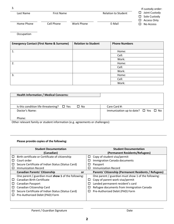|            |                   |            |                            | If custody order:                           |
|------------|-------------------|------------|----------------------------|---------------------------------------------|
| Last Name  | <b>First Name</b> |            | <b>Relation to Student</b> | $\Box$ Joint Custody<br>$\Box$ Sole Custody |
|            |                   |            |                            | $\Box$ Access Only                          |
| Home Phone | Cell Phone        | Work Phone | E-Mail                     | No Access<br>$\Box$                         |

**Occupation** 

| <b>Emergency Contact (First Name &amp; Surname)</b> | <b>Relation to Student</b> | <b>Phone Numbers</b> |
|-----------------------------------------------------|----------------------------|----------------------|
|                                                     |                            |                      |
| 1.                                                  |                            | Home:                |
|                                                     |                            | Cell:                |
|                                                     |                            | Work:                |
| 2.                                                  |                            | Home:                |
|                                                     |                            | Cell:                |
|                                                     |                            | Work:                |
| 3.                                                  |                            | Home:                |
|                                                     |                            | Cell:                |
|                                                     |                            | Work:                |

| Care Card #:                                                                  |
|-------------------------------------------------------------------------------|
| Immunization up to date? $\Box$ Yes $\Box$ No                                 |
|                                                                               |
| Other relevant family or student information (e.g. agreements or challenges). |

Other relevant family or student information (e.g. agreements or challenges):

# **Please provide copies of the following:**

|        | <b>Student Documentation</b>                        |        | <b>Student Documentation</b>                                 |
|--------|-----------------------------------------------------|--------|--------------------------------------------------------------|
|        | (Canadian)                                          |        | (Permanent Residents/Refugees)                               |
| □      | Birth certificate or Certificate of citizenship     | □      | Copy of student visa/permit                                  |
|        | Court order                                         |        | Immigration Canada documents                                 |
| ப      | Secure Certificate of Indian Status (Status Card)   |        | Passport                                                     |
|        | <b>Immunization Record</b>                          |        | <b>Immunization Record</b>                                   |
|        | <b>Canadian Parents' Citizenship</b><br>or          |        | <b>Parents' Citizenship (Permanent Residents / Refugees)</b> |
|        | One parent / guardian must show 1 of the following: |        | One parent / guardian must show 1 of the following:          |
| П      | Canadian Birth Certificate                          | $\Box$ | Copy of parent work visa/permit                              |
| ப      | <b>Canadian Passport</b>                            | □      | Landed permanent resident's card                             |
| ப      | Canadian Citizenship Card                           |        | Refugee documents from Immigration Canada                    |
| □      | Secure Certificate of Indian Status (Status Card)   | ப      | Pre-Authorized Debit (PAD) Form                              |
| $\Box$ | Pre-Authorized Debit (PAD) Form                     |        |                                                              |
|        |                                                     |        |                                                              |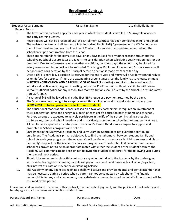# **Enrollment Contract** July 2021 – June 2022

Student's Usual Surname Usual First Name Usual Middle Name General Terms 1. The terms of this contract apply for each year in which the student is enrolled in Murrayville Academy and Early Learning Centre. 2. Registrations will not be processed until this Enrollment Contract has been completed in full and signed. The registration form and all fees and a Pre-Authorized Debit (PAD) Agreement with a VOID cheque for the full year must accompany this Enrollment Contract. A new child is considered accepted into the school only upon confirmation from the School. 3. There are no refunds for holidays, sick days, or any days missed for any other reason throughout the school year. School closure dates are taken into consideration when calculating yearly tuition fees for our programs. Due to unforeseen severe weather conditions, i.e. snow days, the school may be closed for safety reasons and tuition will not be refunded. The Langley Public and Independent School closures will be taken into consideration by the Principal before a decision is made by 7am of the day. 4. Once a child is enrolled, a position is reserved for the entire year and Murrayville Academy cannot reduce or remit fees for absence. If there are extenuating circumstances (i.e. the family has to relocate or move) **WRITTEN NOTIFICATION AND A MINIMUM OF 60 DAYS (2 months)** is required to be considered for withdrawal. Notice must be given in writing before the  $1<sup>st</sup>$  of the month. Should a child be withdrawn without sufficient notice for any reason, two month's tuitions shall be kept by the school. No refunds after April 30th, 2022. 5. A charge of \$45 will be levied against the first NSF cheque or a payment returned by the bank. 6. The School reserves the right to accept or reject this application and to expel a student at any time. A **SIX WEEK** probation period is in effect for new students. 7. The educational model at our School is based on a two-way partnership. It requires an investment of trust, cooperation, time and energy in support of each child's education both at home and at school. Further, parents are expected to actively participate in the life of the school, including scheduled conferences, class and school meetings and to positively promote the school in the community at large. All families are expected to carefully read the School's Parent Handbook and agree to support and promote the School's programs and policies. 8. Enrollment in the Murrayville Academy and Early Learning Centre does not guarantee continuing enrollment. The Academy's primary objective is to find the right match between student, family and school. As each year progresses, the Academy's will continue to monitor each child's progress and his or her family's support for the Academy's policies, programs and ideals. Should it become clear that our school has proven not to be an appropriate match with either the student or the student's family, the Academy will communicate its decision not to invite the student to re-enroll for the following year during the re-enrollment period. 9. Should it be necessary to place this contract or any other debt due to the Academy by the undersigned with a collection agency or lawyer, parents will pay all court costs and reasonable collection/legal fees, plus interest at a rate of 15% on the outstanding balance. 10. The Academy, or any agent acting on its behalf, will secure and provide medical and dental attention that may be necessary during a period when a parent cannot be contacted by telephone. The financial responsibility for any and all emergency medical/dental expenses incurred on behalf of the student will be assumed by the parent. I have read and understand the terms of this contract, the methods of payment, and the policies of the Academy and I hereby agree to all the terms and conditions stated therein. Parent's/Guardian's Name: \_\_\_\_\_\_\_\_\_\_\_\_\_\_\_\_\_\_\_\_\_\_\_\_\_\_\_\_\_\_\_Parent's Signature: \_\_\_\_\_\_\_\_\_\_\_\_\_\_\_\_\_\_\_\_\_\_\_\_\_\_\_\_\_\_\_\_\_

Administration signature: \_\_\_\_\_\_\_\_\_\_\_\_\_\_\_\_\_\_\_ Name of Family Representative to the Society: \_\_\_\_\_\_\_\_\_\_\_\_\_\_\_\_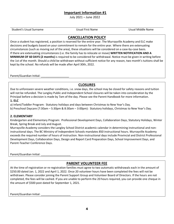# **Important Information #1**

July 2021 – June 2022

Student's Usual Surname Usual First Name Usual Middle Name

# **CANCELLATION POLICY**

Once a student has registered, a position is reserved for the entire year. The Murrayville Academy and ELC make decisions and budgets based on your commitment to remain for the entire year. Where there are extenuating circumstances (such as moving out of the area), these situations will be considered on a case-by-case basis. If there are extenuating circumstances (i.e. the family has to relocate or move) **WRITTEN NOTIFICATION AND A MINIMUM OF 60 DAYS (2 months)** is required to be considered for withdrawal. Notice must be given in writing before the 1st of the month. Should a child be withdrawn without sufficient notice for any reason, two month's tuitions shall be kept by the school. No refunds will be made after April 30th, 2022.

Parent/Guardian Initial:

# **CLOSURES**

Due to unforeseen severe weather conditions, i.e. snow days, the school may be closed for safety reasons and tuition will not be refunded. The Langley Public and Independent School closures will be taken into consideration by the Principal before a decision is made by 7am of the day. Please see the Parent Handbook for more information.

#### **1. ELC**

a) Infant/Toddler Program: Statutory holidays and days between Christmas to New Year's Day.

b) Preschool Daycare (7:30am – 5:30pm & 8:30am – 3:00pm): Statutory holidays, Christmas to New Year's Day.

#### **2. ELEMENTARY**

Kindergarten and Elementary Program: Professional Development Days, Collaboration Days, Statutory Holidays, Winter Break, Spring Break and July and August.

Murrayville Academy considers the Langley School District academic calendar in determining instructional and noninstructional days. The BC Ministry of Independent Schools mandates 850 instructional hours. Murrayville Academy exceeds the required number of hours of instruction. Non-instructional days include Provincial and District Professional Development Days, Collaboration Days, Design and Report Card Preparation Days, School Improvement Days, and Parent-Teacher Conference Days.

Parent/Guardian Initial:

# **PARENT VOLUNTEER FEE**

At the time of registration or re-registration families must agree to two automatic withdrawals each in the amount of \$250.00 dated Jan. 1, 2022 and April 1, 2022. Once 20 volunteer hours have been completed the fees will not be withdrawn. Please consider joining the Parent Support Group and Volunteer Board of Directors. If the hours are not completed, the fees will be cashed. If you are unable to perform the 20 hours required, you can provide one cheque in the amount of \$500 post-dated for September 1, 2021.

Parent/Guardian Initial: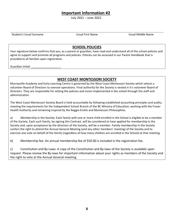# **Important Information #2**

July 2021 – June 2022

Student's Usual Surname Usual First Name Usual Middle Name

## **SCHOOL POLICIES**

Your signature below confirms that you, as a parent or guardian, have read and understand all of the school policies and agree to support and promote all programs and policies. Policies can be accessed in our Parent Handbook that is provided to all families upon registration.

Guardian Initial:

# **WEST COAST MONTESSORI SOCIETY**

Murrayville Academy and Early Learning Centre is governed by the West Coast Montessori Society which selects a volunteer Board of Directors to oversee operations. Final authority for the Society is vested in it's volunteer Board of Directors. They are responsible for setting the policies and vision implemented in the school through the staff and administration.

The West Coast Montessori Society Board is held accountable by following established accounting principles and audits, meeting the requirements for the Independent School Branch of the BC Ministry of Education, working with the Fraser Health Authority and remaining inspired by the Reggio Emilio and Montessori Philosophies.

a) Membership in the Society: Each family with one or more child enrolled in the School is eligible to be a member of the Society. Each such family, by signing this Contract, will be considered to have applied for membership in the Society and, upon acceptance by the directors of the Society, will be a member. Family membership in the Society confers the right to attend the Annual General Meeting (and any other members' meeting) of the Society and to exercise one vote on behalf of the family (regardless of how many children are enrolled in the School) at that meeting.

b) Membership fee: An annual membership fee of \$50.00 is included in the registration fee.

c) Constitution and By-Laws: A copy of the Constitution and By-laws of the Society is available upon request. Please review the By-laws for important information about your rights as members of the Society and the right to vote at the Annual General meeting.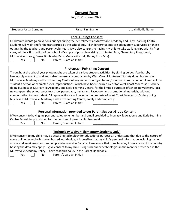# **Consent Form**

July 2021 – June 2022

| <b>Student's Usual Surname</b>                                                                                                                                                                       | <b>Usual First Name</b>                                           | <b>Usual Middle Name</b> |  |  |
|------------------------------------------------------------------------------------------------------------------------------------------------------------------------------------------------------|-------------------------------------------------------------------|--------------------------|--|--|
|                                                                                                                                                                                                      | <b>Local Outings Consent</b>                                      |                          |  |  |
| Children/students go on various outings during their enrollment at Murrayville Academy and Early Learning Centre.                                                                                    |                                                                   |                          |  |  |
| Students will walk and/or be transported by the school bus. All children/students are adequately supervised on these                                                                                 |                                                                   |                          |  |  |
| outings by the teachers and parent volunteers. I/we also consent to having my child to take walking trips with his/her                                                                               |                                                                   |                          |  |  |
| class, within a 2km radius of our school. (Example of possible walking trip: Porter Park, Elementary Playground,                                                                                     |                                                                   |                          |  |  |
| Murrayville Library, Derek Doubleday Park, Murrayville Hall, Denny Ross Park).                                                                                                                       |                                                                   |                          |  |  |
| Yes<br>No                                                                                                                                                                                            | Parent/Guardian Initial:                                          |                          |  |  |
|                                                                                                                                                                                                      |                                                                   |                          |  |  |
|                                                                                                                                                                                                      | <b>Photograph Publishing Consent</b>                              |                          |  |  |
| Throughout the school year photographs are taken of various student activities. By signing below, I/we hereby                                                                                        |                                                                   |                          |  |  |
| irrevocably consent to and authorize the use or reproduction by West Coast Montessori Society doing business as                                                                                      |                                                                   |                          |  |  |
| Murrayville Academy and Early Learning Centre of any and all photographs and/or other reproduction or likeness of the                                                                                |                                                                   |                          |  |  |
| student's person or characteristics (reproductions) which have been secured by or for West Coast Montessori Society                                                                                  |                                                                   |                          |  |  |
| doing business as Murrayville Academy and Early Learning Centre, for the limited purposes of school newsletters, local                                                                               |                                                                   |                          |  |  |
| newspapers, the school website, school parent app, Instagram, Facebook and promotional materials, without                                                                                            |                                                                   |                          |  |  |
|                                                                                                                                                                                                      |                                                                   |                          |  |  |
| compensation to the student. All reproductions shall become the property of West Coast Montessori Society doing<br>business as Murrayville Academy and Early Learning Centre, solely and completely. |                                                                   |                          |  |  |
| Yes<br>No                                                                                                                                                                                            | Parent/Guardian Initial:                                          |                          |  |  |
|                                                                                                                                                                                                      |                                                                   |                          |  |  |
|                                                                                                                                                                                                      | Personal Information provided to our Parent Support Group Consent |                          |  |  |
| I/We consent to having my personal telephone number and email provided to Murrayville Academy and Early Learning                                                                                     |                                                                   |                          |  |  |
| Centre Parent Support Group for the purpose of parent volunteer work.                                                                                                                                |                                                                   |                          |  |  |
| Yes<br>No                                                                                                                                                                                            | Parent/Guardian Initial:                                          |                          |  |  |
|                                                                                                                                                                                                      |                                                                   |                          |  |  |
| <b>Technology Waiver (Elementary Students Only)</b>                                                                                                                                                  |                                                                   |                          |  |  |
| I/We consent to my child may be accessing technology for educational purposes. I understand that due to the nature of                                                                                |                                                                   |                          |  |  |
| some online technologies being hosted world-wide, it is possible that my child's personal information including name,                                                                                |                                                                   |                          |  |  |
| school and email may be stored on premises outside Canada. I am aware that in such cases, Privacy Laws of the country                                                                                |                                                                   |                          |  |  |
| hosting the data may apply. I give consent to my child using such online technologies in the manner prescribed in the                                                                                |                                                                   |                          |  |  |
| Murrayville Academy Policy. I have read this policy in the Parent Handbook.                                                                                                                          |                                                                   |                          |  |  |
| Yes<br>No                                                                                                                                                                                            | Parent/Guardian Initial:                                          |                          |  |  |